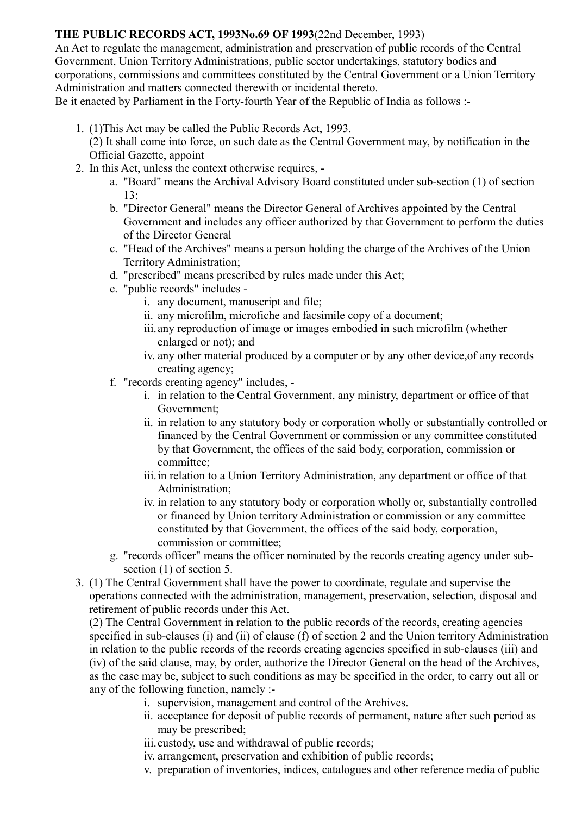## **THE PUBLIC RECORDS ACT, 1993No.69 OF 1993**(22nd December, 1993)

An Act to regulate the management, administration and preservation of public records of the Central Government, Union Territory Administrations, public sector undertakings, statutory bodies and corporations, commissions and committees constituted by the Central Government or a Union Territory Administration and matters connected therewith or incidental thereto.

Be it enacted by Parliament in the Forty-fourth Year of the Republic of India as follows :-

- 1. (1)This Act may be called the Public Records Act, 1993.
	- (2) It shall come into force, on such date as the Central Government may, by notification in the Official Gazette, appoint
- 2. In this Act, unless the context otherwise requires,
	- a. "Board" means the Archival Advisory Board constituted under sub-section (1) of section  $13:$
	- b. "Director General" means the Director General of Archives appointed by the Central Government and includes any officer authorized by that Government to perform the duties of the Director General
	- c. "Head of the Archives" means a person holding the charge of the Archives of the Union Territory Administration;
	- d. "prescribed" means prescribed by rules made under this Act;
	- e. "public records" includes
		- i. any document, manuscript and file;
		- ii. any microfilm, microfiche and facsimile copy of a document;
		- iii.any reproduction of image or images embodied in such microfilm (whether enlarged or not); and
		- iv. any other material produced by a computer or by any other device,of any records creating agency;
	- f. "records creating agency" includes,
		- i. in relation to the Central Government, any ministry, department or office of that Government;
		- ii. in relation to any statutory body or corporation wholly or substantially controlled or financed by the Central Government or commission or any committee constituted by that Government, the offices of the said body, corporation, commission or committee;
		- iii.in relation to a Union Territory Administration, any department or office of that Administration;
		- iv. in relation to any statutory body or corporation wholly or, substantially controlled or financed by Union territory Administration or commission or any committee constituted by that Government, the offices of the said body, corporation, commission or committee;
	- g. "records officer" means the officer nominated by the records creating agency under subsection (1) of section 5.
- 3. (1) The Central Government shall have the power to coordinate, regulate and supervise the operations connected with the administration, management, preservation, selection, disposal and retirement of public records under this Act.

(2) The Central Government in relation to the public records of the records, creating agencies specified in sub-clauses (i) and (ii) of clause (f) of section 2 and the Union territory Administration in relation to the public records of the records creating agencies specified in sub-clauses (iii) and (iv) of the said clause, may, by order, authorize the Director General on the head of the Archives, as the case may be, subject to such conditions as may be specified in the order, to carry out all or any of the following function, namely :-

- i. supervision, management and control of the Archives.
- ii. acceptance for deposit of public records of permanent, nature after such period as may be prescribed;
- iii.custody, use and withdrawal of public records;
- iv. arrangement, preservation and exhibition of public records;
- v. preparation of inventories, indices, catalogues and other reference media of public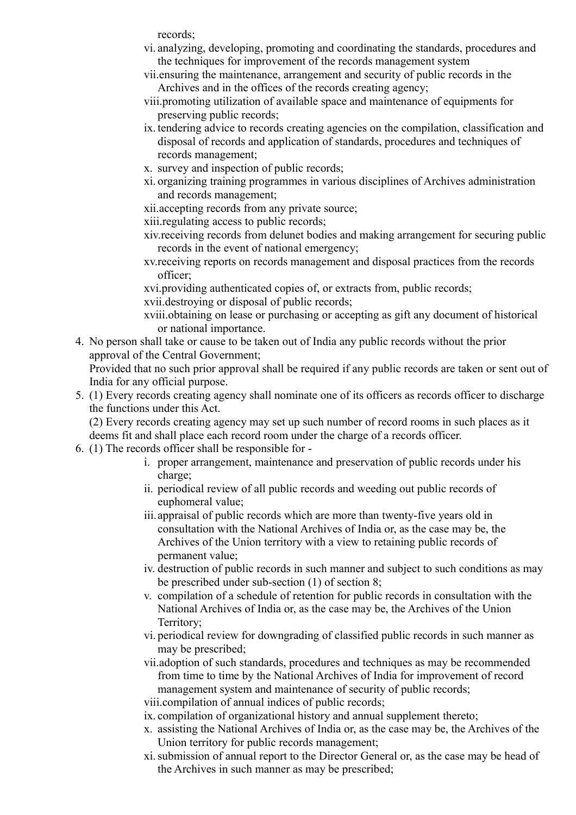records;

- vi. analyzing, developing, promoting and coordinating the standards, procedures and the techniques for improvement of the records management system
- vii.ensuring the maintenance, arrangement and security of public records in the Archives and in the offices of the records creating agency;
- viii.promoting utilization of available space and maintenance of equipments for preserving public records;
- ix. tendering advice to records creating agencies on the compilation, classification and disposal of records and application of standards, procedures and techniques of records management;
- x. survey and inspection of public records;
- xi. organizing training programmes in various disciplines of Archives administration and records management;
- xii.accepting records from any private source;
- xiii.regulating access to public records;
- xiv.receiving records from delunet bodies and making arrangement for securing public records in the event of national emergency;
- xv.receiving reports on records management and disposal practices from the records officer;

xvi.providing authenticated copies of, or extracts from, public records; xvii.destroying or disposal of public records;

- xviii.obtaining on lease or purchasing or accepting as gift any document of historical or national importance.
- 4. No person shall take or cause to be taken out of India any public records without the prior approval of the Central Government;

Provided that no such prior approval shall be required if any public records are taken or sent out of India for any official purpose.

5. (1) Every records creating agency shall nominate one of its officers as records officer to discharge the functions under this Act.

(2) Every records creating agency may set up such number of record rooms in such places as it deems fit and shall place each record room under the charge of a records officer.

- 6. (1) The records officer shall be responsible for
	- i. proper arrangement, maintenance and preservation of public records under his charge;
	- ii. periodical review of all public records and weeding out public records of euphomeral value;
	- iii.appraisal of public records which are more than twenty-five years old in consultation with the National Archives of India or, as the case may be, the Archives of the Union territory with a view to retaining public records of permanent value;
	- iv. destruction of public records in such manner and subject to such conditions as may be prescribed under sub-section (1) of section 8;
	- v. compilation of a schedule of retention for public records in consultation with the National Archives of India or, as the case may be, the Archives of the Union Territory;
	- vi. periodical review for downgrading of classified public records in such manner as may be prescribed;
	- vii.adoption of such standards, procedures and techniques as may be recommended from time to time by the National Archives of India for improvement of record management system and maintenance of security of public records;
	- viii.compilation of annual indices of public records;
	- ix. compilation of organizational history and annual supplement thereto;
	- x. assisting the National Archives of India or, as the case may be, the Archives of the Union territory for public records management;
	- xi.submission of annual report to the Director General or, as the case may be head of the Archives in such manner as may be prescribed;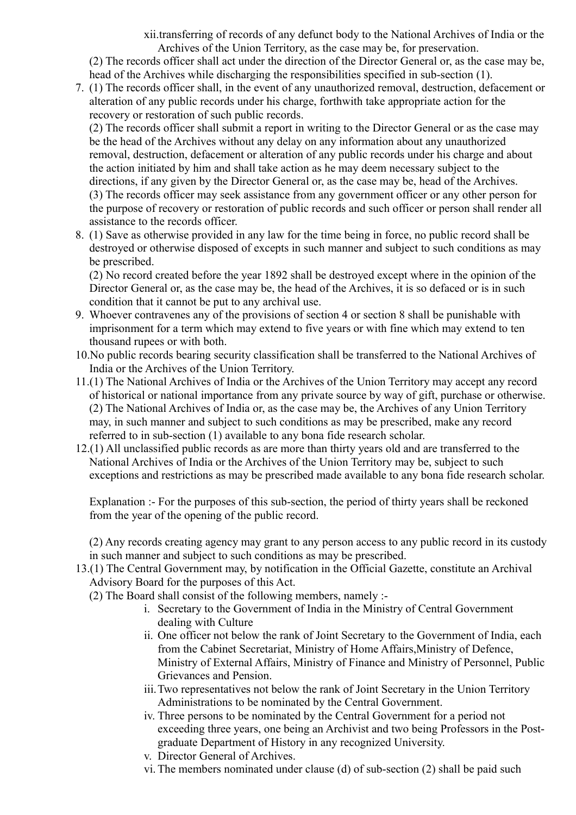xii.transferring of records of any defunct body to the National Archives of India or the Archives of the Union Territory, as the case may be, for preservation.

(2) The records officer shall act under the direction of the Director General or, as the case may be, head of the Archives while discharging the responsibilities specified in sub-section (1).

7. (1) The records officer shall, in the event of any unauthorized removal, destruction, defacement or alteration of any public records under his charge, forthwith take appropriate action for the recovery or restoration of such public records.

(2) The records officer shall submit a report in writing to the Director General or as the case may be the head of the Archives without any delay on any information about any unauthorized removal, destruction, defacement or alteration of any public records under his charge and about the action initiated by him and shall take action as he may deem necessary subject to the directions, if any given by the Director General or, as the case may be, head of the Archives. (3) The records officer may seek assistance from any government officer or any other person for the purpose of recovery or restoration of public records and such officer or person shall render all assistance to the records officer.

8. (1) Save as otherwise provided in any law for the time being in force, no public record shall be destroyed or otherwise disposed of excepts in such manner and subject to such conditions as may be prescribed.

(2) No record created before the year 1892 shall be destroyed except where in the opinion of the Director General or, as the case may be, the head of the Archives, it is so defaced or is in such condition that it cannot be put to any archival use.

- 9. Whoever contravenes any of the provisions of section 4 or section 8 shall be punishable with imprisonment for a term which may extend to five years or with fine which may extend to ten thousand rupees or with both.
- 10.No public records bearing security classification shall be transferred to the National Archives of India or the Archives of the Union Territory.
- 11.(1) The National Archives of India or the Archives of the Union Territory may accept any record of historical or national importance from any private source by way of gift, purchase or otherwise. (2) The National Archives of India or, as the case may be, the Archives of any Union Territory may, in such manner and subject to such conditions as may be prescribed, make any record referred to in sub-section (1) available to any bona fide research scholar.
- 12.(1) All unclassified public records as are more than thirty years old and are transferred to the National Archives of India or the Archives of the Union Territory may be, subject to such exceptions and restrictions as may be prescribed made available to any bona fide research scholar.

Explanation :- For the purposes of this sub-section, the period of thirty years shall be reckoned from the year of the opening of the public record.

(2) Any records creating agency may grant to any person access to any public record in its custody in such manner and subject to such conditions as may be prescribed.

- 13.(1) The Central Government may, by notification in the Official Gazette, constitute an Archival Advisory Board for the purposes of this Act.
	- (2) The Board shall consist of the following members, namely :
		- i. Secretary to the Government of India in the Ministry of Central Government dealing with Culture
		- ii. One officer not below the rank of Joint Secretary to the Government of India, each from the Cabinet Secretariat, Ministry of Home Affairs,Ministry of Defence, Ministry of External Affairs, Ministry of Finance and Ministry of Personnel, Public Grievances and Pension.
		- iii.Two representatives not below the rank of Joint Secretary in the Union Territory Administrations to be nominated by the Central Government.
		- iv. Three persons to be nominated by the Central Government for a period not exceeding three years, one being an Archivist and two being Professors in the Postgraduate Department of History in any recognized University.
		- v. Director General of Archives.
		- vi. The members nominated under clause (d) of sub-section (2) shall be paid such